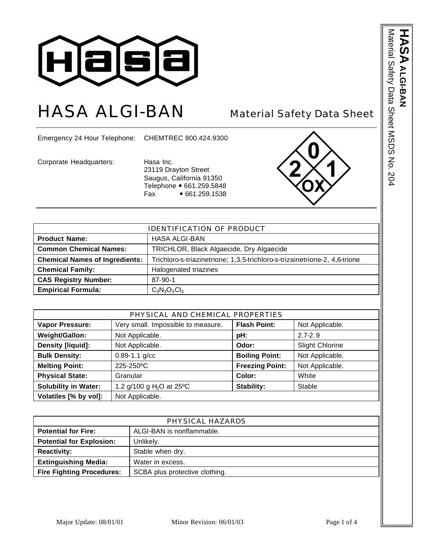

# HASA ALGI-BAN Material Safety Data Sheet

Emergency 24 Hour Telephone: CHEMTREC 800.424.9300

Corporate Headquarters: Hasa Inc.

23119 Drayton Street Saugus, California 91350 Telephone • 661.259.5848 Fax  $\bullet$  661.259.1538



| <b>IDENTIFICATION OF PRODUCT</b>      |                                                                            |  |
|---------------------------------------|----------------------------------------------------------------------------|--|
| <b>Product Name:</b>                  | <b>HASA ALGI-BAN</b>                                                       |  |
| <b>Common Chemical Names:</b>         | TRICHLOR, Black Algaecide, Dry Algaecide                                   |  |
| <b>Chemical Names of Ingredients:</b> | Trichloro-s-triazinetrione; 1,3,5-trichloro-s-trizainetrione-2, 4,6-trione |  |
| <b>Chemical Family:</b>               | Halogenated triazines                                                      |  |
| <b>CAS Registry Number:</b>           | $87 - 90 - 1$                                                              |  |
| <b>Empirical Formula:</b>             | $C_3N_3O_3Cl_3$                                                            |  |

| PHYSICAL AND CHEMICAL PROPERTIES |                                      |                        |                        |
|----------------------------------|--------------------------------------|------------------------|------------------------|
| <b>Vapor Pressure:</b>           | Very small. Impossible to measure.   | <b>Flash Point:</b>    | Not Applicable.        |
| Weight/Gallon:                   | Not Applicable.                      | pH:                    | $2.7 - 2.9$            |
| <b>Density [liquid]:</b>         | Not Applicable.                      | Odor:                  | <b>Slight Chlorine</b> |
| <b>Bulk Density:</b>             | $0.89 - 1.1$ g/cc                    | <b>Boiling Point:</b>  | Not Applicable.        |
| <b>Melting Point:</b>            | 225-250°C                            | <b>Freezing Point:</b> | Not Applicable.        |
| <b>Physical State:</b>           | Granular                             | Color:                 | White                  |
| <b>Solubility in Water:</b>      | 1.2 g/100 g H <sub>2</sub> O at 25°C | Stability:             | Stable                 |
| Volatiles [% by vol]:            | Not Applicable.                      |                        |                        |

| PHYSICAL HAZARDS                 |                                |  |
|----------------------------------|--------------------------------|--|
| <b>Potential for Fire:</b>       | ALGI-BAN is nonflammable.      |  |
| <b>Potential for Explosion:</b>  | Unlikely.                      |  |
| <b>Reactivity:</b>               | Stable when dry.               |  |
| <b>Extinguishing Media:</b>      | Water in excess.               |  |
| <b>Fire Fighting Procedures:</b> | SCBA plus protective clothing. |  |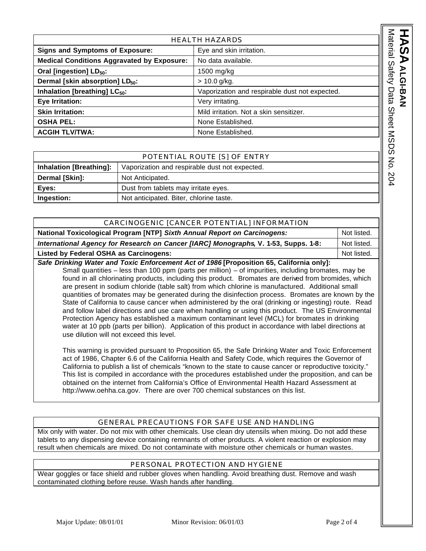| <b>HEALTH HAZARDS</b>                             |                                                |                                                |                           |
|---------------------------------------------------|------------------------------------------------|------------------------------------------------|---------------------------|
| <b>Signs and Symptoms of Exposure:</b>            |                                                | Eye and skin irritation.                       | Material                  |
| <b>Medical Conditions Aggravated by Exposure:</b> |                                                | No data available.                             |                           |
| Oral [ingestion] LD <sub>50</sub> :               |                                                | 1500 mg/kg                                     | <b>Safety</b>             |
| Dermal [skin absorption] LD <sub>50</sub> :       |                                                | $> 10.0$ g/kg.                                 |                           |
| Inhalation [breathing] LC <sub>50</sub> :         |                                                | Vaporization and respirable dust not expected. | Data                      |
| Eye Irritation:                                   |                                                | Very irritating.                               |                           |
| <b>Skin Irritation:</b>                           |                                                | Mild irritation. Not a skin sensitizer.        |                           |
| <b>OSHA PEL:</b>                                  |                                                | None Established.                              | Sheet                     |
| <b>ACGIH TLV/TWA:</b>                             |                                                | None Established.                              |                           |
|                                                   |                                                |                                                | <b>NSDS</b>               |
| POTENTIAL ROUTE [S] OF ENTRY                      |                                                |                                                |                           |
| <b>Inhalation [Breathing]:</b>                    | Vaporization and respirable dust not expected. |                                                | $\mathsf{K}_{\mathsf{C}}$ |
| Dermal [Skin]:                                    | Not Anticipated.                               |                                                | 204                       |
|                                                   |                                                |                                                |                           |

|                                | POTENTIAL ROUTE [S] OF ENTRY                   |
|--------------------------------|------------------------------------------------|
| <b>Inhalation [Breathing]:</b> | Vaporization and respirable dust not expected. |
| Dermal [Skin]:                 | Not Anticipated.                               |
| Eyes:                          | Dust from tablets may irritate eyes.           |
| Ingestion:                     | Not anticipated. Biter, chlorine taste.        |

| CARCINOGENIC [CANCER POTENTIAL] INFORMATION                                                                                                                                                             |             |  |
|---------------------------------------------------------------------------------------------------------------------------------------------------------------------------------------------------------|-------------|--|
| National Toxicological Program [NTP] Sixth Annual Report on Carcinogens:                                                                                                                                | Not listed. |  |
| International Agency for Research on Cancer [IARC] Monographs, V. 1-53, Supps. 1-8:                                                                                                                     | Not listed. |  |
| <b>Listed by Federal OSHA as Carcinogens:</b>                                                                                                                                                           | Not listed. |  |
| Safe Drinking Water and Toxic Enforcement Act of 1986 [Proposition 65, California only]:<br>Small quantities – less than 100 ppm (parts per million) – of impurities, including bromates, may be        |             |  |
| found in all chlorinating products, including this product. Bromates are derived from bromides, which                                                                                                   |             |  |
| are present in sodium chloride (table salt) from which chlorine is manufactured. Additional small<br>quantities of bromates may be generated during the disinfection process. Bromates are known by the |             |  |

State of California to cause cancer when administered by the oral (drinking or ingesting) route. Read and follow label directions and use care when handling or using this product. The US Environmental Protection Agency has established a maximum contaminant level (MCL) for bromates in drinking water at 10 ppb (parts per billion). Application of this product in accordance with label directions at use dilution will not exceed this level.

This warning is provided pursuant to Proposition 65, the Safe Drinking Water and Toxic Enforcement act of 1986, Chapter 6.6 of the California Health and Safety Code, which requires the Governor of California to publish a list of chemicals "known to the state to cause cancer or reproductive toxicity." This list is compiled in accordance with the procedures established under the proposition, and can be obtained on the internet from California's Office of Environmental Health Hazard Assessment at http://www.oehha.ca.gov. There are over 700 chemical substances on this list.

# GENERAL PRECAUTIONS FOR SAFE USE AND HANDLING

Mix only with water. Do not mix with other chemicals. Use clean dry utensils when mixing. Do not add these tablets to any dispensing device containing remnants of other products. A violent reaction or explosion may result when chemicals are mixed. Do not contaminate with moisture other chemicals or human wastes.

### PERSONAL PROTECTION AND HYGIENE

Wear goggles or face shield and rubber gloves when handling. Avoid breathing dust. Remove and wash contaminated clothing before reuse. Wash hands after handling.

**HASA**

**ALGI-BAN**

ALGI-BAN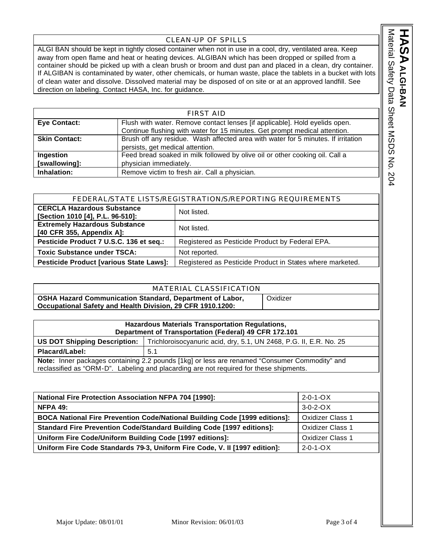## CLEAN-UP OF SPILLS

ALGI BAN should be kept in tightly closed container when not in use in a cool, dry, ventilated area. Keep away from open flame and heat or heating devices. ALGIBAN which has been dropped or spilled from a container should be picked up with a clean brush or broom and dust pan and placed in a clean, dry container. If ALGIBAN is contaminated by water, other chemicals, or human waste, place the tablets in a bucket with lots of clean water and dissolve. Dissolved material may be disposed of on site or at an approved landfill. See direction on labeling. Contact HASA, Inc. for guidance.

| <b>FIRST AID</b>     |                                                                                   |  |
|----------------------|-----------------------------------------------------------------------------------|--|
| <b>Eye Contact:</b>  | Flush with water. Remove contact lenses [if applicable]. Hold eyelids open.       |  |
|                      | Continue flushing with water for 15 minutes. Get prompt medical attention.        |  |
| <b>Skin Contact:</b> | Brush off any residue. Wash affected area with water for 5 minutes. If irritation |  |
|                      | persists, get medical attention.                                                  |  |
| Ingestion            | Feed bread soaked in milk followed by olive oil or other cooking oil. Call a      |  |
| [swallowing]:        | physician immediately.                                                            |  |
| Inhalation:          | Remove victim to fresh air. Call a physician.                                     |  |

| FEDERAL/STATE LISTS/REGISTRATION/S/REPORTING REQUIREMENTS             |                                                           |
|-----------------------------------------------------------------------|-----------------------------------------------------------|
| <b>CERCLA Hazardous Substance</b><br>[Section 1010 [4], P.L. 96-510]: | Not listed.                                               |
| <b>Extremely Hazardous Substance</b><br>[40 CFR 355, Appendix A]:     | Not listed.                                               |
| Pesticide Product 7 U.S.C. 136 et seq.:                               | Registered as Pesticide Product by Federal EPA.           |
| <b>Toxic Substance under TSCA:</b>                                    | Not reported.                                             |
| <b>Pesticide Product [various State Laws]:</b>                        | Registered as Pesticide Product in States where marketed. |

| MATERIAL CLASSIFICATION                                                                                                |          |
|------------------------------------------------------------------------------------------------------------------------|----------|
| OSHA Hazard Communication Standard, Department of Labor,<br>Occupational Safety and Health Division, 29 CFR 1910.1200: | Oxidizer |

| Hazardous Materials Transportation Regulations,<br>Department of Transportation (Federal) 49 CFR 172.101                                                                                       |                                                                    |  |
|------------------------------------------------------------------------------------------------------------------------------------------------------------------------------------------------|--------------------------------------------------------------------|--|
| <b>US DOT Shipping Description:</b>                                                                                                                                                            | Trichloroisocyanuric acid, dry, 5.1, UN 2468, P.G. II, E.R. No. 25 |  |
| Placard/Label:                                                                                                                                                                                 | 5.1                                                                |  |
| <b>Note:</b> Inner packages containing 2.2 pounds [1kg] or less are renamed "Consumer Commodity" and<br>reclassified as "ORM-D". Labeling and placarding are not required for these shipments. |                                                                    |  |

| <b>National Fire Protection Association NFPA 704 [1990]:</b>                      | $2 - 0 - 1 - OX$        |
|-----------------------------------------------------------------------------------|-------------------------|
| <b>NFPA 49:</b>                                                                   | $3-0-2-0X$              |
| <b>BOCA National Fire Prevention Code/National Building Code [1999 editions]:</b> | <b>Oxidizer Class 1</b> |
| Standard Fire Prevention Code/Standard Building Code [1997 editions]:             | <b>Oxidizer Class 1</b> |
| Uniform Fire Code/Uniform Building Code [1997 editions]:                          | <b>Oxidizer Class 1</b> |
| Uniform Fire Code Standards 79-3, Uniform Fire Code, V. II [1997 edition]:        | $2 - 0 - 1 - ON$        |
|                                                                                   |                         |